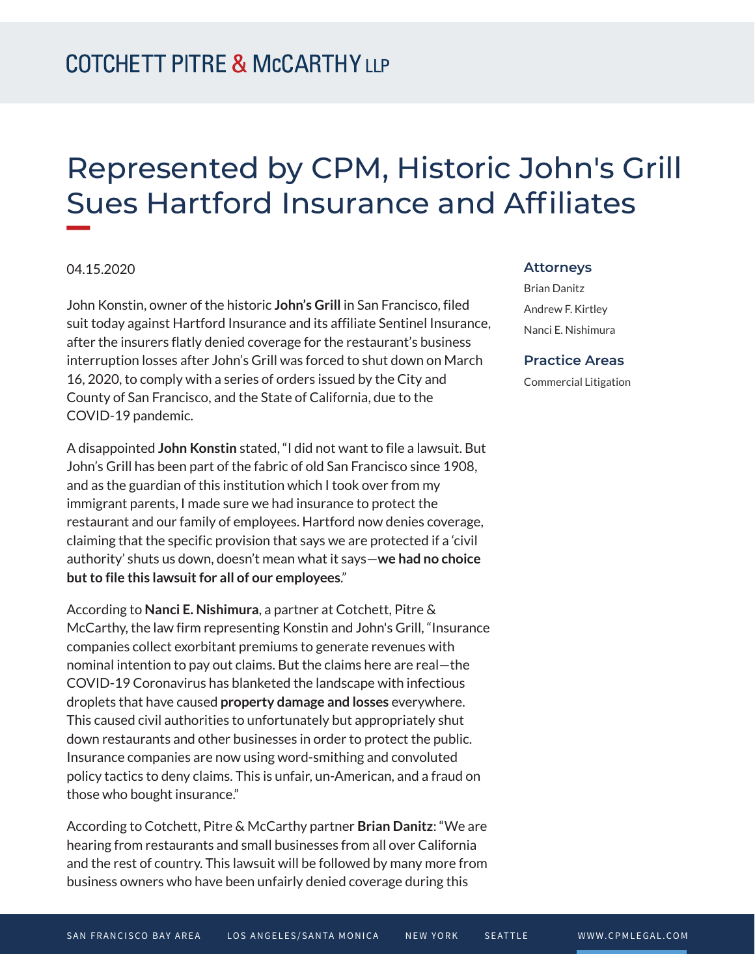# Represented by CPM, Historic John's Grill Sues Hartford Insurance and Affiliates

## 04.15.2020

**William** 

John Konstin, owner of the historic **John's Grill** in San Francisco, filed suit today against Hartford Insurance and its affiliate Sentinel Insurance, after the insurers flatly denied coverage for the restaurant's business interruption losses after John's Grill was forced to shut down on March 16, 2020, to comply with a series of orders issued by the City and County of San Francisco, and the State of California, due to the COVID-19 pandemic.

A disappointed **John Konstin** stated, "I did not want to file a lawsuit. But John's Grill has been part of the fabric of old San Francisco since 1908, and as the guardian of this institution which I took over from my immigrant parents, I made sure we had insurance to protect the restaurant and our family of employees. Hartford now denies coverage, claiming that the specific provision that says we are protected if a 'civil authority' shuts us down, doesn't mean what it says—**we had no choice but to file this lawsuit for all of our employees**."

According to **Nanci E. Nishimura**, a partner at Cotchett, Pitre & McCarthy, the law firm representing Konstin and John's Grill, "Insurance companies collect exorbitant premiums to generate revenues with nominal intention to pay out claims. But the claims here are real—the COVID-19 Coronavirus has blanketed the landscape with infectious droplets that have caused **property damage and losses** everywhere. This caused civil authorities to unfortunately but appropriately shut down restaurants and other businesses in order to protect the public. Insurance companies are now using word-smithing and convoluted policy tactics to deny claims. This is unfair, un-American, and a fraud on those who bought insurance."

According to Cotchett, Pitre & McCarthy partner **Brian Danitz**: "We are hearing from restaurants and small businesses from all over California and the rest of country. This lawsuit will be followed by many more from business owners who have been unfairly denied coverage during this

#### **Attorneys**

Brian Danitz Andrew F. Kirtley Nanci E. Nishimura

### **Practice Areas**

Commercial Litigation